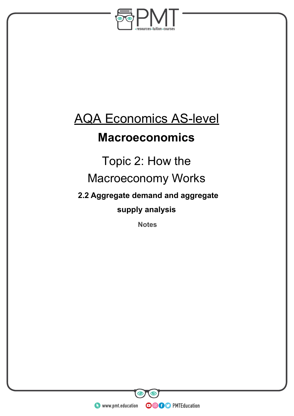

# AQA Economics AS-level

## **Macroeconomics**

# Topic 2: How the Macroeconomy Works

**2.2 Aggregate demand and aggregate** 

**supply analysis**

**Notes** 

**WWW.pmt.education** 

**OOOO** PMTEducation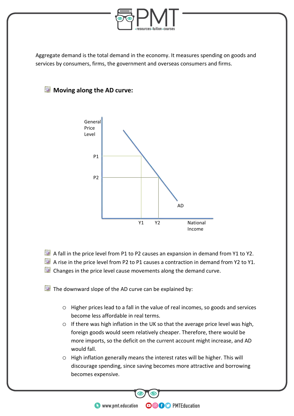

Aggregate demand is the total demand in the economy. It measures spending on goods and services by consumers, firms, the government and overseas consumers and firms.



#### **Moving along the AD curve:**

- $\Box$  A fall in the price level from P1 to P2 causes an expansion in demand from Y1 to Y2.
- A rise in the price level from P2 to P1 causes a contraction in demand from Y2 to Y1.
- $\Box$  Changes in the price level cause movements along the demand curve.
- $\Box$  The downward slope of the AD curve can be explained by:
	- o Higher prices lead to a fall in the value of real incomes, so goods and services become less affordable in real terms.
	- o If there was high inflation in the UK so that the average price level was high, foreign goods would seem relatively cheaper. Therefore, there would be more imports, so the deficit on the current account might increase, and AD would fall.
	- o High inflation generally means the interest rates will be higher. This will discourage spending, since saving becomes more attractive and borrowing becomes expensive.

**OOOO** PMTEducation

**WWW.pmt.education**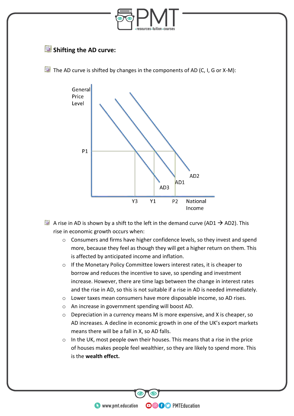

A rise in AD is shown by a shift to the left in the demand curve (AD1  $\rightarrow$  AD2). This rise in economic growth occurs when:

- $\circ$  Consumers and firms have higher confidence levels, so they invest and spend more, because they feel as though they will get a higher return on them. This is affected by anticipated income and inflation.
- o If the Monetary Policy Committee lowers interest rates, it is cheaper to borrow and reduces the incentive to save, so spending and investment increase. However, there are time lags between the change in interest rates and the rise in AD, so this is not suitable if a rise in AD is needed immediately.
- o Lower taxes mean consumers have more disposable income, so AD rises.
- o An increase in government spending will boost AD.
- o Depreciation in a currency means M is more expensive, and X is cheaper, so AD increases. A decline in economic growth in one of the UK's export markets means there will be a fall in X, so AD falls.
- o In the UK, most people own their houses. This means that a rise in the price of houses makes people feel wealthier, so they are likely to spend more. This is the **wealth effect.**

**OOOO** PMTEducation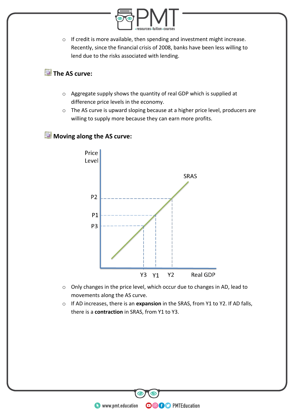

o If credit is more available, then spending and investment might increase. Recently, since the financial crisis of 2008, banks have been less willing to lend due to the risks associated with lending.

### **The AS curve:**

- o Aggregate supply shows the quantity of real GDP which is supplied at difference price levels in the economy.
- o The AS curve is upward sloping because at a higher price level, producers are willing to supply more because they can earn more profits.



### **Moving along the AS curve:**

- o Only changes in the price level, which occur due to changes in AD, lead to movements along the AS curve.
- o If AD increases, there is an **expansion** in the SRAS, from Y1 to Y2. If AD falls, there is a **contraction** in SRAS, from Y1 to Y3.

**OOOO** PMTEducation

**WWW.pmt.education**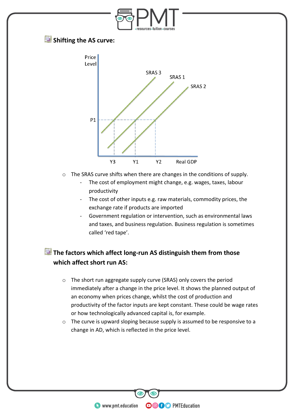

- o The SRAS curve shifts when there are changes in the conditions of supply.
	- The cost of employment might change, e.g. wages, taxes, labour productivity
	- The cost of other inputs e.g. raw materials, commodity prices, the exchange rate if products are imported
	- Government regulation or intervention, such as environmental laws and taxes, and business regulation. Business regulation is sometimes called 'red tape'.

## **The factors which affect long-run AS distinguish them from those which affect short run AS:**

- o The short run aggregate supply curve (SRAS) only covers the period immediately after a change in the price level. It shows the planned output of an economy when prices change, whilst the cost of production and productivity of the factor inputs are kept constant. These could be wage rates or how technologically advanced capital is, for example.
- o The curve is upward sloping because supply is assumed to be responsive to a change in AD, which is reflected in the price level.

**OOOO** PMTEducation

**WWW.pmt.education**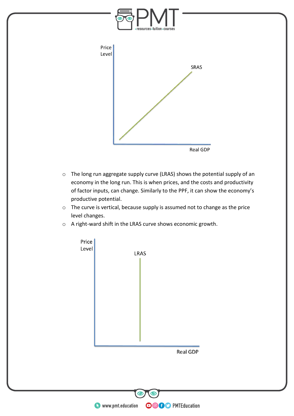

- o The long run aggregate supply curve (LRAS) shows the potential supply of an economy in the long run. This is when prices, and the costs and productivity of factor inputs, can change. Similarly to the PPF, it can show the economy's productive potential.
- o The curve is vertical, because supply is assumed not to change as the price level changes.
- o A right-ward shift in the LRAS curve shows economic growth.

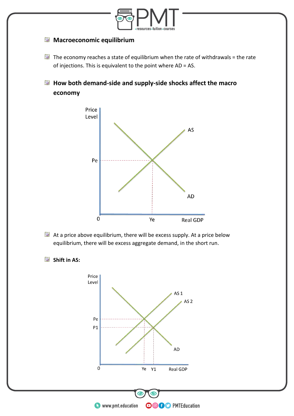

#### **Macroeconomic equilibrium**

- $\Box$  The economy reaches a state of equilibrium when the rate of withdrawals = the rate of injections. This is equivalent to the point where AD = AS.
- **How both demand-side and supply-side shocks affect the macro economy**



- $\Box$  At a price above equilibrium, there will be excess supply. At a price below equilibrium, there will be excess aggregate demand, in the short run.
- **Shift in AS:**